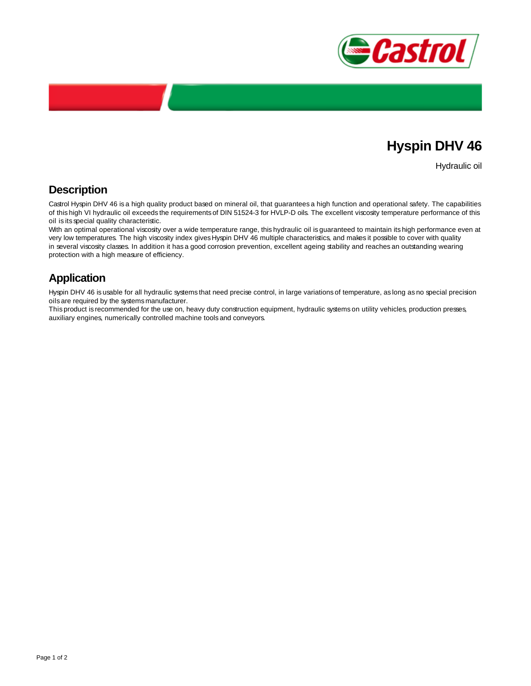

## **Hyspin DHV 46**

Hydraulic oil

## **Description**

Castrol Hyspin DHV 46 is a high quality product based on mineral oil, that guarantees a high function and operational safety. The capabilities of this high VI hydraulic oil exceeds the requirements of DIN 51524-3 for HVLP-D oils. The excellent viscosity temperature performance of this oil is its special quality characteristic.

With an optimal operational viscosity over a wide temperature range, this hydraulic oil is guaranteed to maintain its high performance even at very low temperatures. The high viscosity index gives Hyspin DHV 46 multiple characteristics, and makes it possible to cover with quality in several viscosity classes. In addition it has a good corrosion prevention, excellent ageing stability and reaches an outstanding wearing protection with a high measure of efficiency.

## **Application**

Hyspin DHV 46 is usable for all hydraulic systems that need precise control, in large variations of temperature, as long as no special precision oils are required by the systems manufacturer.

This product is recommended for the use on, heavy duty construction equipment, hydraulic systems on utility vehicles, production presses, auxiliary engines, numerically controlled machine tools and conveyors.